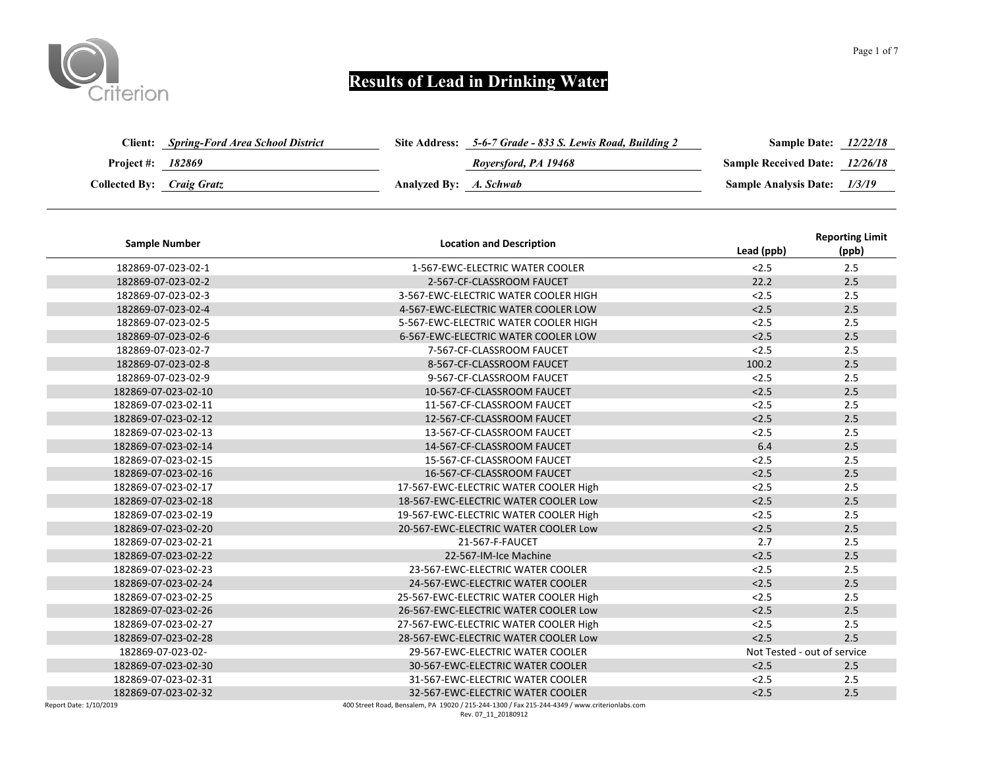

| Client:                   | <b>Spring-Ford Area School District</b> |                        | Site Address: 5-6-7 Grade - 833 S. Lewis Road, Building 2 | <b>Sample Date:</b>                   | 12/22/18 |
|---------------------------|-----------------------------------------|------------------------|-----------------------------------------------------------|---------------------------------------|----------|
| <b>Project #: 182869</b>  |                                         |                        | Roversford, PA 19468                                      | <b>Sample Received Date:</b> 12/26/18 |          |
| Collected By: Craig Gratz |                                         | Analyzed By: A. Schwab |                                                           | Sample Analysis Date: 1/3/19          |          |

| <b>Sample Number</b> | <b>Location and Description</b>       | Lead (ppb) | <b>Reporting Limit</b><br>(ppb) |
|----------------------|---------------------------------------|------------|---------------------------------|
| 182869-07-023-02-1   | 1-567-EWC-ELECTRIC WATER COOLER       | < 2.5      | 2.5                             |
| 182869-07-023-02-2   | 2-567-CF-CLASSROOM FAUCET             | 22.2       | 2.5                             |
| 182869-07-023-02-3   | 3-567-EWC-ELECTRIC WATER COOLER HIGH  | < 2.5      | 2.5                             |
| 182869-07-023-02-4   | 4-567-EWC-ELECTRIC WATER COOLER LOW   | < 2.5      | 2.5                             |
| 182869-07-023-02-5   | 5-567-EWC-ELECTRIC WATER COOLER HIGH  | < 2.5      | 2.5                             |
| 182869-07-023-02-6   | 6-567-EWC-ELECTRIC WATER COOLER LOW   | < 2.5      | 2.5                             |
| 182869-07-023-02-7   | 7-567-CF-CLASSROOM FAUCET             | < 2.5      | 2.5                             |
| 182869-07-023-02-8   | 8-567-CF-CLASSROOM FAUCET             | 100.2      | 2.5                             |
| 182869-07-023-02-9   | 9-567-CF-CLASSROOM FAUCET             | < 2.5      | 2.5                             |
| 182869-07-023-02-10  | 10-567-CF-CLASSROOM FAUCET            | < 2.5      | 2.5                             |
| 182869-07-023-02-11  | 11-567-CF-CLASSROOM FAUCET            | < 2.5      | 2.5                             |
| 182869-07-023-02-12  | 12-567-CF-CLASSROOM FAUCET            | < 2.5      | 2.5                             |
| 182869-07-023-02-13  | 13-567-CF-CLASSROOM FAUCET            | < 2.5      | 2.5                             |
| 182869-07-023-02-14  | 14-567-CF-CLASSROOM FAUCET            | 6.4        | 2.5                             |
| 182869-07-023-02-15  | 15-567-CF-CLASSROOM FAUCET            | < 2.5      | 2.5                             |
| 182869-07-023-02-16  | 16-567-CF-CLASSROOM FAUCET            | < 2.5      | 2.5                             |
| 182869-07-023-02-17  | 17-567-EWC-ELECTRIC WATER COOLER High | < 2.5      | 2.5                             |
| 182869-07-023-02-18  | 18-567-EWC-ELECTRIC WATER COOLER Low  | < 2.5      | 2.5                             |
| 182869-07-023-02-19  | 19-567-EWC-ELECTRIC WATER COOLER High | < 2.5      | 2.5                             |
| 182869-07-023-02-20  | 20-567-EWC-ELECTRIC WATER COOLER Low  | < 2.5      | 2.5                             |
| 182869-07-023-02-21  | 21-567-F-FAUCET                       | 2.7        | 2.5                             |
| 182869-07-023-02-22  | 22-567-IM-Ice Machine                 | < 2.5      | 2.5                             |
| 182869-07-023-02-23  | 23-567-EWC-ELECTRIC WATER COOLER      | < 2.5      | 2.5                             |
| 182869-07-023-02-24  | 24-567-EWC-ELECTRIC WATER COOLER      | < 2.5      | 2.5                             |
| 182869-07-023-02-25  | 25-567-EWC-ELECTRIC WATER COOLER High | < 2.5      | 2.5                             |
| 182869-07-023-02-26  | 26-567-EWC-ELECTRIC WATER COOLER Low  | < 2.5      | 2.5                             |
| 182869-07-023-02-27  | 27-567-EWC-ELECTRIC WATER COOLER High | < 2.5      | 2.5                             |
| 182869-07-023-02-28  | 28-567-EWC-ELECTRIC WATER COOLER Low  | < 2.5      | 2.5                             |
| 182869-07-023-02-    | 29-567-EWC-ELECTRIC WATER COOLER      |            | Not Tested - out of service     |
| 182869-07-023-02-30  | 30-567-EWC-ELECTRIC WATER COOLER      | < 2.5      | 2.5                             |
| 182869-07-023-02-31  | 31-567-EWC-ELECTRIC WATER COOLER      | < 2.5      | 2.5                             |
| 182869-07-023-02-32  | 32-567-EWC-ELECTRIC WATER COOLER      | < 2.5      | 2.5                             |
|                      |                                       |            |                                 |

Report Date: 1/10/2019 400 Street Road, Bensalem, PA 19020 / 215-244-1300 / Fax 215-244-4349 / www.criterionlabs.com

Rev. 07\_11\_20180912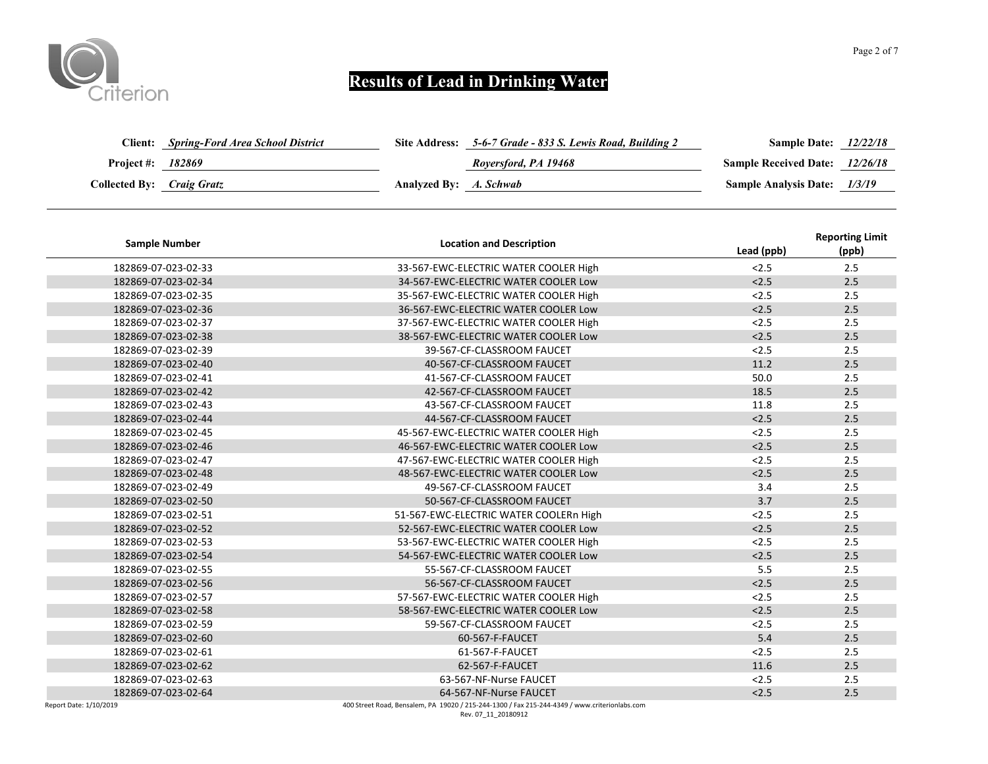

| Client:                          | <b>Spring-Ford Area School District</b> |                        | Site Address: 5-6-7 Grade - 833 S. Lewis Road, Building 2 | <b>Sample Date:</b>                   | 12/22/18 |
|----------------------------------|-----------------------------------------|------------------------|-----------------------------------------------------------|---------------------------------------|----------|
| Project #:                       | 182869                                  |                        | Roversford, PA 19468                                      | <b>Sample Received Date:</b> 12/26/18 |          |
| <b>Collected By:</b> Craig Gratz |                                         | Analyzed By: A. Schwab |                                                           | <b>Sample Analysis Date:</b> 1/3/19   |          |

| <b>Sample Number</b>   | <b>Location and Description</b>                                                               | Lead (ppb) | <b>Reporting Limit</b><br>(ppb) |
|------------------------|-----------------------------------------------------------------------------------------------|------------|---------------------------------|
| 182869-07-023-02-33    | 33-567-EWC-ELECTRIC WATER COOLER High                                                         | < 2.5      | 2.5                             |
| 182869-07-023-02-34    | 34-567-EWC-ELECTRIC WATER COOLER Low                                                          | < 2.5      | 2.5                             |
| 182869-07-023-02-35    | 35-567-EWC-ELECTRIC WATER COOLER High                                                         | < 2.5      | 2.5                             |
| 182869-07-023-02-36    | 36-567-EWC-ELECTRIC WATER COOLER Low                                                          | < 2.5      | 2.5                             |
| 182869-07-023-02-37    | 37-567-EWC-ELECTRIC WATER COOLER High                                                         | < 2.5      | 2.5                             |
| 182869-07-023-02-38    | 38-567-EWC-ELECTRIC WATER COOLER Low                                                          | < 2.5      | 2.5                             |
| 182869-07-023-02-39    | 39-567-CF-CLASSROOM FAUCET                                                                    | < 2.5      | 2.5                             |
| 182869-07-023-02-40    | 40-567-CF-CLASSROOM FAUCET                                                                    | 11.2       | 2.5                             |
| 182869-07-023-02-41    | 41-567-CF-CLASSROOM FAUCET                                                                    | 50.0       | 2.5                             |
| 182869-07-023-02-42    | 42-567-CF-CLASSROOM FAUCET                                                                    | 18.5       | 2.5                             |
| 182869-07-023-02-43    | 43-567-CF-CLASSROOM FAUCET                                                                    | 11.8       | 2.5                             |
| 182869-07-023-02-44    | 44-567-CF-CLASSROOM FAUCET                                                                    | < 2.5      | 2.5                             |
| 182869-07-023-02-45    | 45-567-EWC-ELECTRIC WATER COOLER High                                                         | < 2.5      | 2.5                             |
| 182869-07-023-02-46    | 46-567-EWC-ELECTRIC WATER COOLER Low                                                          | < 2.5      | 2.5                             |
| 182869-07-023-02-47    | 47-567-EWC-ELECTRIC WATER COOLER High                                                         | < 2.5      | 2.5                             |
| 182869-07-023-02-48    | 48-567-EWC-ELECTRIC WATER COOLER Low                                                          | < 2.5      | 2.5                             |
| 182869-07-023-02-49    | 49-567-CF-CLASSROOM FAUCET                                                                    | 3.4        | 2.5                             |
| 182869-07-023-02-50    | 50-567-CF-CLASSROOM FAUCET                                                                    | 3.7        | 2.5                             |
| 182869-07-023-02-51    | 51-567-EWC-ELECTRIC WATER COOLERn High                                                        | < 2.5      | 2.5                             |
| 182869-07-023-02-52    | 52-567-EWC-ELECTRIC WATER COOLER Low                                                          | < 2.5      | 2.5                             |
| 182869-07-023-02-53    | 53-567-EWC-ELECTRIC WATER COOLER High                                                         | < 2.5      | 2.5                             |
| 182869-07-023-02-54    | 54-567-EWC-ELECTRIC WATER COOLER Low                                                          | < 2.5      | 2.5                             |
| 182869-07-023-02-55    | 55-567-CF-CLASSROOM FAUCET                                                                    | 5.5        | 2.5                             |
| 182869-07-023-02-56    | 56-567-CF-CLASSROOM FAUCET                                                                    | < 2.5      | 2.5                             |
| 182869-07-023-02-57    | 57-567-EWC-ELECTRIC WATER COOLER High                                                         | < 2.5      | 2.5                             |
| 182869-07-023-02-58    | 58-567-EWC-ELECTRIC WATER COOLER Low                                                          | < 2.5      | 2.5                             |
| 182869-07-023-02-59    | 59-567-CF-CLASSROOM FAUCET                                                                    | < 2.5      | 2.5                             |
| 182869-07-023-02-60    | 60-567-F-FAUCET                                                                               | 5.4        | 2.5                             |
| 182869-07-023-02-61    | 61-567-F-FAUCET                                                                               | < 2.5      | 2.5                             |
| 182869-07-023-02-62    | 62-567-F-FAUCET                                                                               | 11.6       | 2.5                             |
| 182869-07-023-02-63    | 63-567-NF-Nurse FAUCET                                                                        | < 2.5      | 2.5                             |
| 182869-07-023-02-64    | 64-567-NF-Nurse FAUCET                                                                        | < 2.5      | 2.5                             |
| Report Date: 1/10/2019 | 400 Street Road, Bensalem, PA 19020 / 215-244-1300 / Fax 215-244-4349 / www.criterionlabs.com |            |                                 |

0 / 215-244-1300 / rax 21<br>Rev. 07\_11\_20180912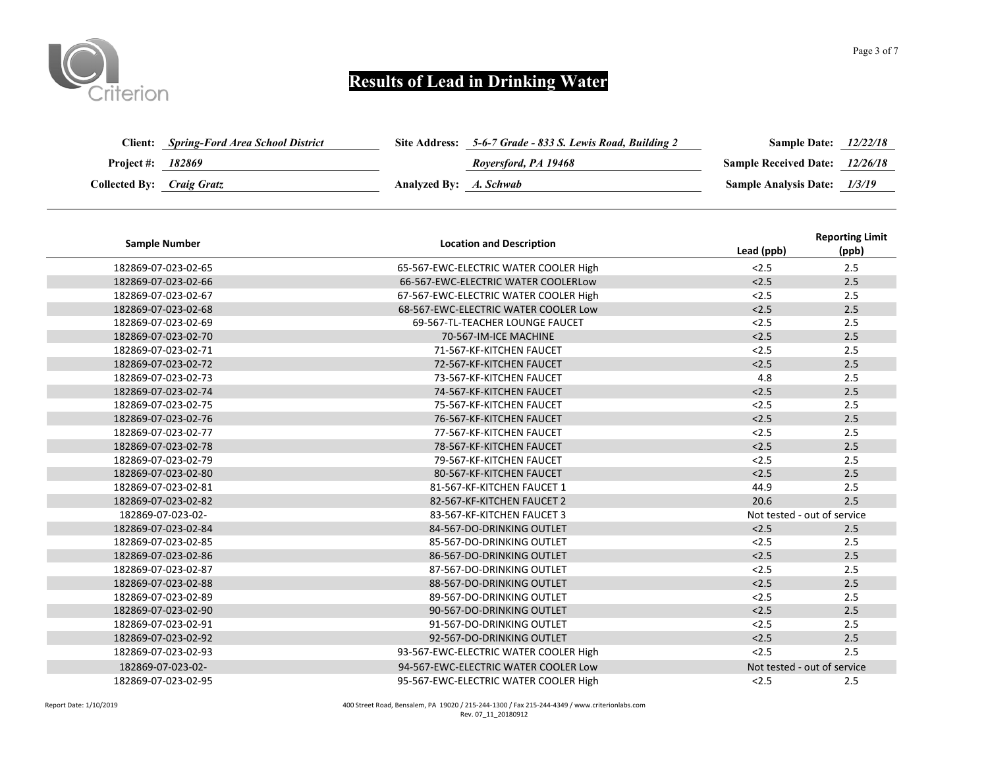

| Client:                   | <b>Spring-Ford Area School District</b> |                        | Site Address: 5-6-7 Grade - 833 S. Lewis Road, Building 2 | <b>Sample Date:</b> 12/22/18          |  |
|---------------------------|-----------------------------------------|------------------------|-----------------------------------------------------------|---------------------------------------|--|
| Project #: 182869         |                                         |                        | Roversford, PA 19468                                      | <b>Sample Received Date:</b> 12/26/18 |  |
| Collected By: Craig Gratz |                                         | Analyzed By: A. Schwab |                                                           | Sample Analysis Date: 1/3/19          |  |

| <b>Sample Number</b> | <b>Location and Description</b>       | Lead (ppb) | <b>Reporting Limit</b><br>(ppb) |
|----------------------|---------------------------------------|------------|---------------------------------|
| 182869-07-023-02-65  | 65-567-EWC-ELECTRIC WATER COOLER High | < 2.5      | 2.5                             |
| 182869-07-023-02-66  | 66-567-EWC-ELECTRIC WATER COOLERLOW   | < 2.5      | 2.5                             |
| 182869-07-023-02-67  | 67-567-EWC-ELECTRIC WATER COOLER High | < 2.5      | 2.5                             |
| 182869-07-023-02-68  | 68-567-EWC-ELECTRIC WATER COOLER Low  | < 2.5      | 2.5                             |
| 182869-07-023-02-69  | 69-567-TL-TEACHER LOUNGE FAUCET       | < 2.5      | 2.5                             |
| 182869-07-023-02-70  | 70-567-IM-ICE MACHINE                 | < 2.5      | 2.5                             |
| 182869-07-023-02-71  | 71-567-KF-KITCHEN FAUCET              | < 2.5      | 2.5                             |
| 182869-07-023-02-72  | 72-567-KF-KITCHEN FAUCET              | < 2.5      | 2.5                             |
| 182869-07-023-02-73  | 73-567-KF-KITCHEN FAUCET              | 4.8        | 2.5                             |
| 182869-07-023-02-74  | 74-567-KF-KITCHEN FAUCET              | < 2.5      | 2.5                             |
| 182869-07-023-02-75  | 75-567-KF-KITCHEN FAUCET              | < 2.5      | 2.5                             |
| 182869-07-023-02-76  | 76-567-KF-KITCHEN FAUCET              | < 2.5      | 2.5                             |
| 182869-07-023-02-77  | 77-567-KF-KITCHEN FAUCET              | < 2.5      | 2.5                             |
| 182869-07-023-02-78  | 78-567-KF-KITCHEN FAUCET              | < 2.5      | 2.5                             |
| 182869-07-023-02-79  | 79-567-KF-KITCHEN FAUCET              | < 2.5      | 2.5                             |
| 182869-07-023-02-80  | 80-567-KF-KITCHEN FAUCET              | < 2.5      | 2.5                             |
| 182869-07-023-02-81  | 81-567-KF-KITCHEN FAUCET 1            | 44.9       | 2.5                             |
| 182869-07-023-02-82  | 82-567-KF-KITCHEN FAUCET 2            | 20.6       | 2.5                             |
| 182869-07-023-02-    | 83-567-KF-KITCHEN FAUCET 3            |            | Not tested - out of service     |
| 182869-07-023-02-84  | 84-567-DO-DRINKING OUTLET             | < 2.5      | 2.5                             |
| 182869-07-023-02-85  | 85-567-DO-DRINKING OUTLET             | < 2.5      | 2.5                             |
| 182869-07-023-02-86  | 86-567-DO-DRINKING OUTLET             | < 2.5      | 2.5                             |
| 182869-07-023-02-87  | 87-567-DO-DRINKING OUTLET             | < 2.5      | 2.5                             |
| 182869-07-023-02-88  | 88-567-DO-DRINKING OUTLET             | < 2.5      | 2.5                             |
| 182869-07-023-02-89  | 89-567-DO-DRINKING OUTLET             | < 2.5      | 2.5                             |
| 182869-07-023-02-90  | 90-567-DO-DRINKING OUTLET             | < 2.5      | 2.5                             |
| 182869-07-023-02-91  | 91-567-DO-DRINKING OUTLET             | < 2.5      | 2.5                             |
| 182869-07-023-02-92  | 92-567-DO-DRINKING OUTLET             | < 2.5      | 2.5                             |
| 182869-07-023-02-93  | 93-567-EWC-ELECTRIC WATER COOLER High | < 2.5      | 2.5                             |
| 182869-07-023-02-    | 94-567-EWC-ELECTRIC WATER COOLER Low  |            | Not tested - out of service     |
| 182869-07-023-02-95  | 95-567-EWC-ELECTRIC WATER COOLER High | < 2.5      | 2.5                             |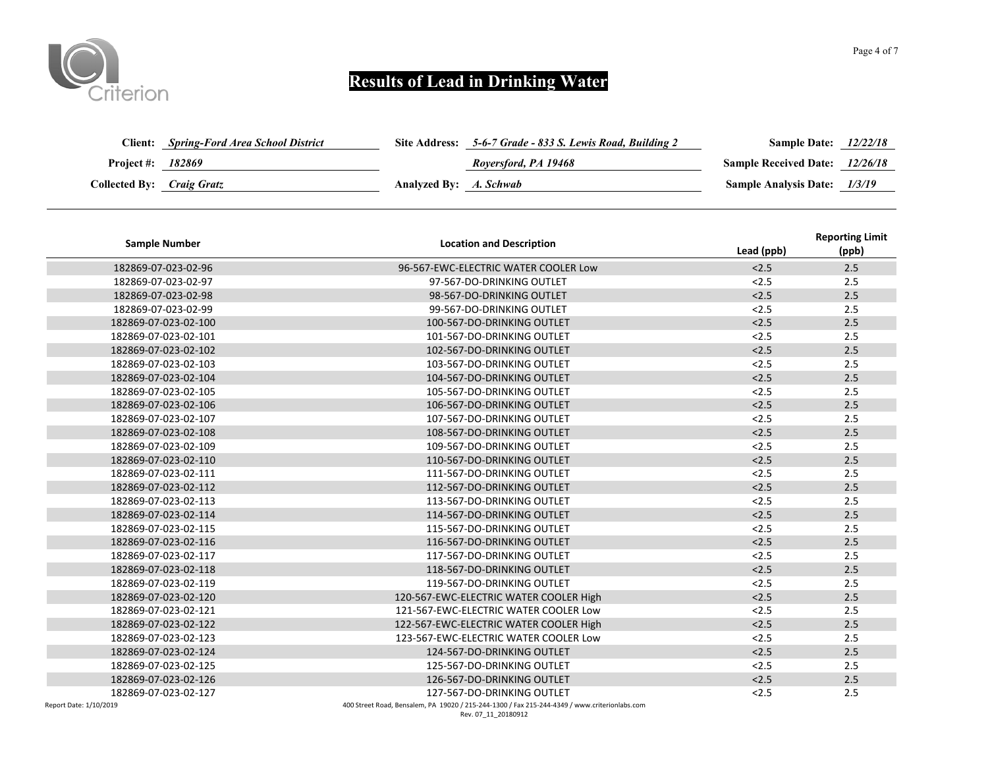

|                           | <b>Client:</b> Spring-Ford Area School District |                        | Site Address: 5-6-7 Grade - 833 S. Lewis Road, Building 2 | <b>Sample Date:</b> 12/22/18          |  |
|---------------------------|-------------------------------------------------|------------------------|-----------------------------------------------------------|---------------------------------------|--|
| Project #: 182869         |                                                 |                        | Roversford, PA 19468                                      | <b>Sample Received Date:</b> 12/26/18 |  |
| Collected By: Craig Gratz |                                                 | Analyzed By: A. Schwab |                                                           | Sample Analysis Date: 1/3/19          |  |

| <b>Sample Number</b> | <b>Location and Description</b>                 | Lead (ppb) | <b>Reporting Limit</b><br>(ppb) |
|----------------------|-------------------------------------------------|------------|---------------------------------|
| 182869-07-023-02-96  | 96-567-EWC-ELECTRIC WATER COOLER Low            | < 2.5      | 2.5                             |
| 182869-07-023-02-97  | 97-567-DO-DRINKING OUTLET                       | < 2.5      | 2.5                             |
| 182869-07-023-02-98  | 98-567-DO-DRINKING OUTLET                       | < 2.5      | 2.5                             |
| 182869-07-023-02-99  | 99-567-DO-DRINKING OUTLET                       | < 2.5      | 2.5                             |
| 182869-07-023-02-100 | 100-567-DO-DRINKING OUTLET                      | < 2.5      | 2.5                             |
| 182869-07-023-02-101 | 101-567-DO-DRINKING OUTLET                      | < 2.5      | 2.5                             |
| 182869-07-023-02-102 | 102-567-DO-DRINKING OUTLET                      | < 2.5      | 2.5                             |
| 182869-07-023-02-103 | 103-567-DO-DRINKING OUTLET                      | < 2.5      | 2.5                             |
| 182869-07-023-02-104 | 104-567-DO-DRINKING OUTLET                      | < 2.5      | 2.5                             |
| 182869-07-023-02-105 | 105-567-DO-DRINKING OUTLET                      | < 2.5      | 2.5                             |
| 182869-07-023-02-106 | 106-567-DO-DRINKING OUTLET                      | < 2.5      | 2.5                             |
| 182869-07-023-02-107 | 107-567-DO-DRINKING OUTLET                      | < 2.5      | 2.5                             |
| 182869-07-023-02-108 | 108-567-DO-DRINKING OUTLET                      | < 2.5      | 2.5                             |
| 182869-07-023-02-109 | 109-567-DO-DRINKING OUTLET                      | < 2.5      | 2.5                             |
| 182869-07-023-02-110 | 110-567-DO-DRINKING OUTLET                      | < 2.5      | 2.5                             |
| 182869-07-023-02-111 | 111-567-DO-DRINKING OUTLET                      | < 2.5      | 2.5                             |
| 182869-07-023-02-112 | 112-567-DO-DRINKING OUTLET                      | < 2.5      | 2.5                             |
| 182869-07-023-02-113 | 113-567-DO-DRINKING OUTLET                      | < 2.5      | 2.5                             |
| 182869-07-023-02-114 | 114-567-DO-DRINKING OUTLET                      | < 2.5      | 2.5                             |
| 182869-07-023-02-115 | 115-567-DO-DRINKING OUTLET                      | < 2.5      | 2.5                             |
| 182869-07-023-02-116 | 116-567-DO-DRINKING OUTLET                      | < 2.5      | 2.5                             |
| 182869-07-023-02-117 | 117-567-DO-DRINKING OUTLET                      | < 2.5      | 2.5                             |
| 182869-07-023-02-118 | 118-567-DO-DRINKING OUTLET                      | < 2.5      | 2.5                             |
| 182869-07-023-02-119 | 119-567-DO-DRINKING OUTLET                      | < 2.5      | 2.5                             |
| 182869-07-023-02-120 | 120-567-EWC-ELECTRIC WATER COOLER High          | < 2.5      | 2.5                             |
| 182869-07-023-02-121 | 121-567-EWC-ELECTRIC WATER COOLER Low           | < 2.5      | 2.5                             |
| 182869-07-023-02-122 | 122-567-EWC-ELECTRIC WATER COOLER High          | < 2.5      | 2.5                             |
| 182869-07-023-02-123 | 123-567-EWC-ELECTRIC WATER COOLER Low           | < 2.5      | 2.5                             |
| 182869-07-023-02-124 | 124-567-DO-DRINKING OUTLET                      | < 2.5      | 2.5                             |
| 182869-07-023-02-125 | 125-567-DO-DRINKING OUTLET                      | < 2.5      | 2.5                             |
| 182869-07-023-02-126 | 126-567-DO-DRINKING OUTLET                      | < 2.5      | 2.5                             |
| 182869-07-023-02-127 | 127-567-DO-DRINKING OUTLET                      | < 2.5      | 2.5                             |
| $D_{2} + 14000000$   | $0.51.40020$ / 245 244 4200 / 5-1245 244 4240 / |            |                                 |

Report Date: 1/10/2019 400 Street Road, Bensalem, PA 19020 / 215-244-1300 / Fax 215-244-4349 / www.criterionlabs.com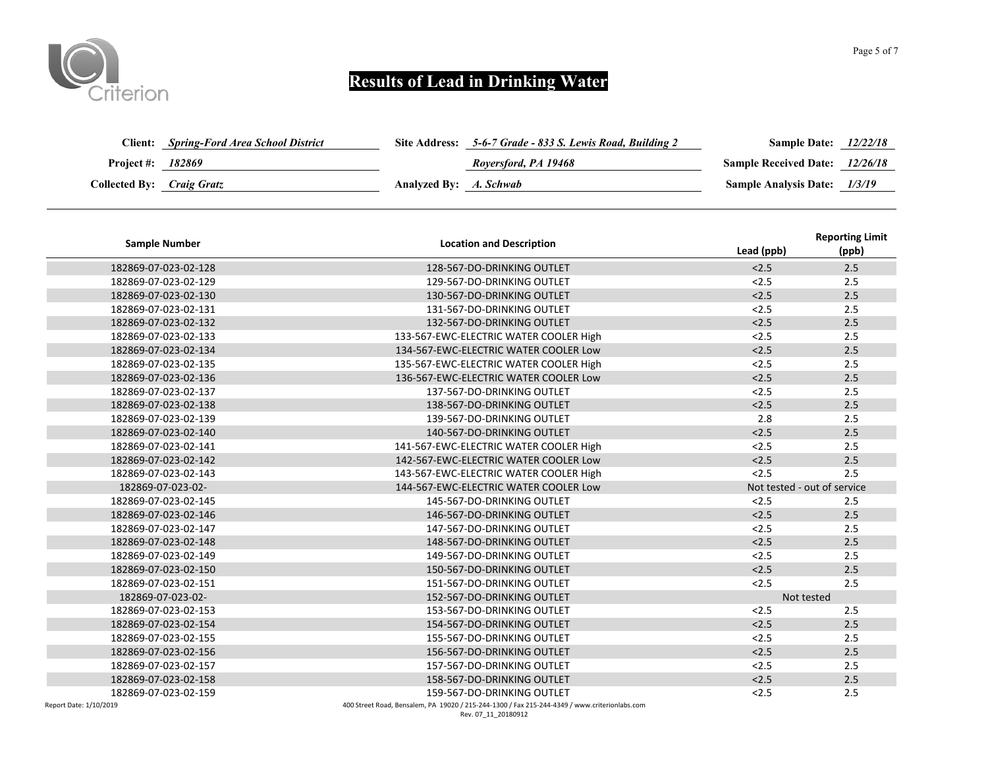

| <b>Client:</b>            | <b>Spring-Ford Area School District</b> |                        | Site Address: 5-6-7 Grade - 833 S. Lewis Road, Building 2 | <b>Sample Date:</b> 12/22/18          |  |
|---------------------------|-----------------------------------------|------------------------|-----------------------------------------------------------|---------------------------------------|--|
| <b>Project #:</b> 182869  |                                         |                        | Roversford, PA 19468                                      | <b>Sample Received Date:</b> 12/26/18 |  |
| Collected By: Craig Gratz |                                         | Analyzed By: A. Schwab |                                                           | Sample Analysis Date: 1/3/19          |  |

| <b>Sample Number</b>           | <b>Location and Description</b>                                                                  | Lead (ppb) | <b>Reporting Limit</b><br>(ppb) |
|--------------------------------|--------------------------------------------------------------------------------------------------|------------|---------------------------------|
| 182869-07-023-02-128           | 128-567-DO-DRINKING OUTLET                                                                       | < 2.5      | 2.5                             |
| 182869-07-023-02-129           | 129-567-DO-DRINKING OUTLET                                                                       | < 2.5      | 2.5                             |
| 182869-07-023-02-130           | 130-567-DO-DRINKING OUTLET                                                                       | < 2.5      | 2.5                             |
| 182869-07-023-02-131           | 131-567-DO-DRINKING OUTLET                                                                       | < 2.5      | 2.5                             |
| 182869-07-023-02-132           | 132-567-DO-DRINKING OUTLET                                                                       | < 2.5      | 2.5                             |
| 182869-07-023-02-133           | 133-567-EWC-ELECTRIC WATER COOLER High                                                           | < 2.5      | 2.5                             |
| 182869-07-023-02-134           | 134-567-EWC-ELECTRIC WATER COOLER Low                                                            | < 2.5      | 2.5                             |
| 182869-07-023-02-135           | 135-567-EWC-ELECTRIC WATER COOLER High                                                           | < 2.5      | 2.5                             |
| 182869-07-023-02-136           | 136-567-EWC-ELECTRIC WATER COOLER Low                                                            | < 2.5      | 2.5                             |
| 182869-07-023-02-137           | 137-567-DO-DRINKING OUTLET                                                                       | < 2.5      | 2.5                             |
| 182869-07-023-02-138           | 138-567-DO-DRINKING OUTLET                                                                       | < 2.5      | 2.5                             |
| 182869-07-023-02-139           | 139-567-DO-DRINKING OUTLET                                                                       | 2.8        | 2.5                             |
| 182869-07-023-02-140           | 140-567-DO-DRINKING OUTLET                                                                       | < 2.5      | 2.5                             |
| 182869-07-023-02-141           | 141-567-EWC-ELECTRIC WATER COOLER High                                                           | < 2.5      | 2.5                             |
| 182869-07-023-02-142           | 142-567-EWC-ELECTRIC WATER COOLER Low                                                            | < 2.5      | 2.5                             |
| 182869-07-023-02-143           | 143-567-EWC-ELECTRIC WATER COOLER High                                                           | < 2.5      | 2.5                             |
| 182869-07-023-02-              | 144-567-EWC-ELECTRIC WATER COOLER Low                                                            |            | Not tested - out of service     |
| 182869-07-023-02-145           | 145-567-DO-DRINKING OUTLET                                                                       | < 2.5      | 2.5                             |
| 182869-07-023-02-146           | 146-567-DO-DRINKING OUTLET                                                                       | < 2.5      | 2.5                             |
| 182869-07-023-02-147           | 147-567-DO-DRINKING OUTLET                                                                       | < 2.5      | 2.5                             |
| 182869-07-023-02-148           | 148-567-DO-DRINKING OUTLET                                                                       | < 2.5      | 2.5                             |
| 182869-07-023-02-149           | 149-567-DO-DRINKING OUTLET                                                                       | < 2.5      | 2.5                             |
| 182869-07-023-02-150           | 150-567-DO-DRINKING OUTLET                                                                       | < 2.5      | 2.5                             |
| 182869-07-023-02-151           | 151-567-DO-DRINKING OUTLET                                                                       | < 2.5      | 2.5                             |
| 182869-07-023-02-              | 152-567-DO-DRINKING OUTLET                                                                       |            | Not tested                      |
| 182869-07-023-02-153           | 153-567-DO-DRINKING OUTLET                                                                       | < 2.5      | 2.5                             |
| 182869-07-023-02-154           | 154-567-DO-DRINKING OUTLET                                                                       | < 2.5      | 2.5                             |
| 182869-07-023-02-155           | 155-567-DO-DRINKING OUTLET                                                                       | < 2.5      | 2.5                             |
| 182869-07-023-02-156           | 156-567-DO-DRINKING OUTLET                                                                       | < 2.5      | 2.5                             |
| 182869-07-023-02-157           | 157-567-DO-DRINKING OUTLET                                                                       | < 2.5      | 2.5                             |
| 182869-07-023-02-158           | 158-567-DO-DRINKING OUTLET                                                                       | < 2.5      | 2.5                             |
| 182869-07-023-02-159           | 159-567-DO-DRINKING OUTLET                                                                       | < 2.5      | 2.5                             |
| <b>Denast Detail 1/10/3010</b> | 100 Freest Bood, Bonselom, BA, 10030 / 315, 314, 1300 / Fou 315, 314, 4340 / ususu exitarianiale |            |                                 |

Report Date: 1/10/2019 400 Street Road, Bensalem, PA 19020 / 215-244-1300 / Fax 215-244-4349 / www.criterionlabs.com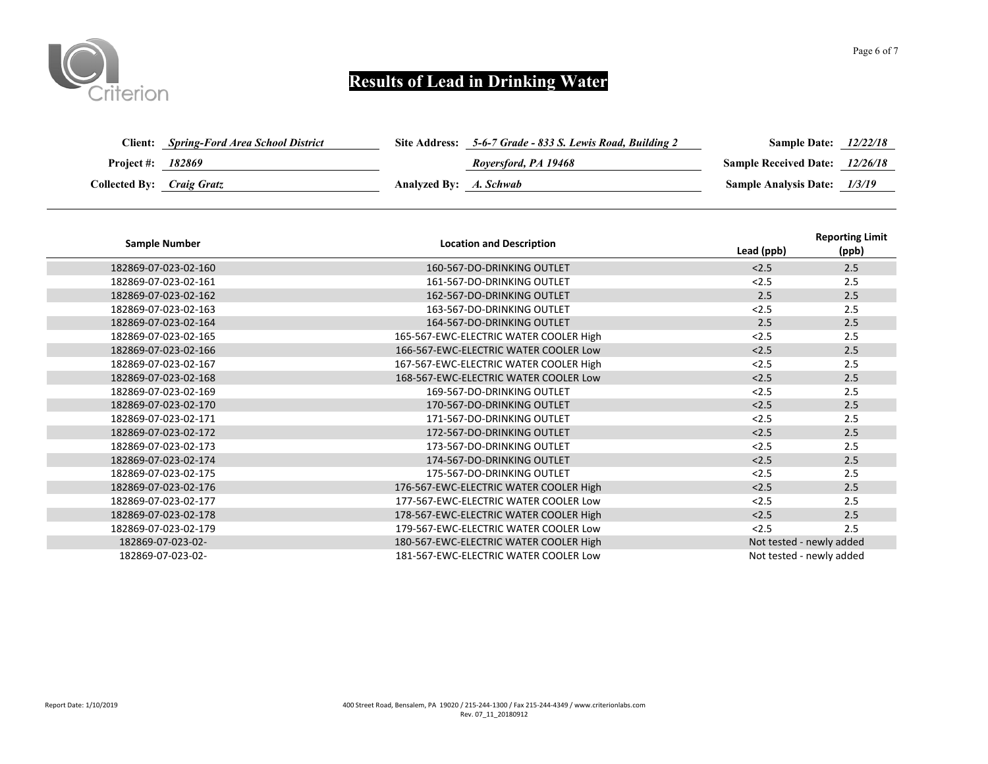

| Client:                   | <b>Spring-Ford Area School District</b> |                        | Site Address: 5-6-7 Grade - 833 S. Lewis Road, Building 2 | <b>Sample Date:</b> 12/22/18          |  |
|---------------------------|-----------------------------------------|------------------------|-----------------------------------------------------------|---------------------------------------|--|
| Project #: 182869         |                                         |                        | Roversford, PA 19468                                      | <b>Sample Received Date:</b> 12/26/18 |  |
| Collected By: Craig Gratz |                                         | Analyzed By: A. Schwab |                                                           | Sample Analysis Date: 1/3/19          |  |

| <b>Sample Number</b> | <b>Location and Description</b>        | Lead (ppb) | <b>Reporting Limit</b><br>(ppb) |
|----------------------|----------------------------------------|------------|---------------------------------|
| 182869-07-023-02-160 | 160-567-DO-DRINKING OUTLET             | < 2.5      | 2.5                             |
| 182869-07-023-02-161 | 161-567-DO-DRINKING OUTLET             | < 2.5      | 2.5                             |
| 182869-07-023-02-162 | 162-567-DO-DRINKING OUTLET             | 2.5        | 2.5                             |
| 182869-07-023-02-163 | 163-567-DO-DRINKING OUTLET             | < 2.5      | 2.5                             |
| 182869-07-023-02-164 | 164-567-DO-DRINKING OUTLET             | 2.5        | 2.5                             |
| 182869-07-023-02-165 | 165-567-EWC-ELECTRIC WATER COOLER High | < 2.5      | 2.5                             |
| 182869-07-023-02-166 | 166-567-EWC-ELECTRIC WATER COOLER Low  | < 2.5      | 2.5                             |
| 182869-07-023-02-167 | 167-567-EWC-ELECTRIC WATER COOLER High | < 2.5      | 2.5                             |
| 182869-07-023-02-168 | 168-567-EWC-ELECTRIC WATER COOLER Low  | < 2.5      | 2.5                             |
| 182869-07-023-02-169 | 169-567-DO-DRINKING OUTLET             | < 2.5      | 2.5                             |
| 182869-07-023-02-170 | 170-567-DO-DRINKING OUTLET             | < 2.5      | 2.5                             |
| 182869-07-023-02-171 | 171-567-DO-DRINKING OUTLET             | < 2.5      | 2.5                             |
| 182869-07-023-02-172 | 172-567-DO-DRINKING OUTLET             | < 2.5      | 2.5                             |
| 182869-07-023-02-173 | 173-567-DO-DRINKING OUTLET             | < 2.5      | 2.5                             |
| 182869-07-023-02-174 | 174-567-DO-DRINKING OUTLET             | < 2.5      | 2.5                             |
| 182869-07-023-02-175 | 175-567-DO-DRINKING OUTLET             | < 2.5      | 2.5                             |
| 182869-07-023-02-176 | 176-567-EWC-ELECTRIC WATER COOLER High | < 2.5      | 2.5                             |
| 182869-07-023-02-177 | 177-567-EWC-ELECTRIC WATER COOLER Low  | < 2.5      | 2.5                             |
| 182869-07-023-02-178 | 178-567-EWC-ELECTRIC WATER COOLER High | < 2.5      | 2.5                             |
| 182869-07-023-02-179 | 179-567-EWC-ELECTRIC WATER COOLER Low  | < 2.5      | 2.5                             |
| 182869-07-023-02-    | 180-567-EWC-ELECTRIC WATER COOLER High |            | Not tested - newly added        |
| 182869-07-023-02-    | 181-567-EWC-ELECTRIC WATER COOLER Low  |            | Not tested - newly added        |